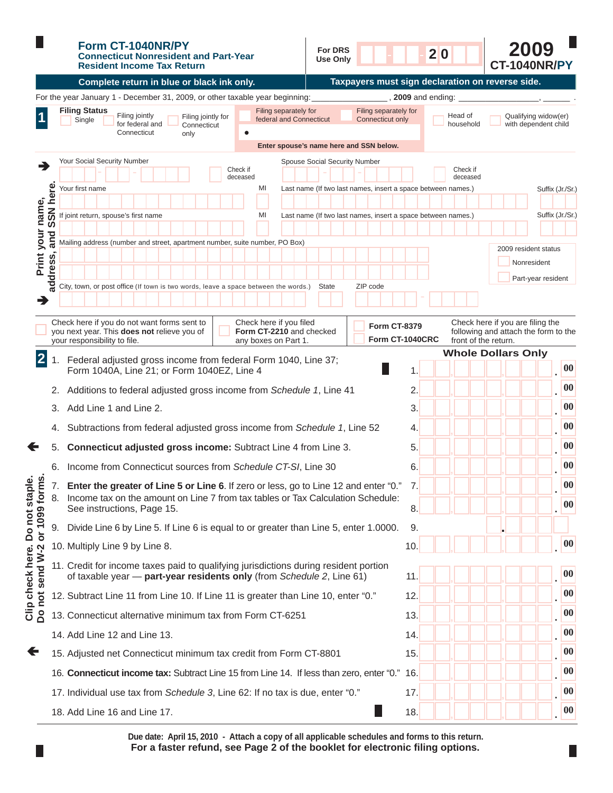|                                                                  |                 | Form CT-1040NR/PY<br><b>For DRS</b><br><b>Connecticut Nonresident and Part-Year</b><br>Use Only<br><b>Resident Income Tax Return</b>                                                                      | 20<br><b>CT-1040NR/PY</b>                                                                                                                  |
|------------------------------------------------------------------|-----------------|-----------------------------------------------------------------------------------------------------------------------------------------------------------------------------------------------------------|--------------------------------------------------------------------------------------------------------------------------------------------|
|                                                                  |                 | Complete return in blue or black ink only.                                                                                                                                                                | Taxpayers must sign declaration on reverse side.                                                                                           |
|                                                                  |                 | For the year January 1 - December 31, 2009, or other taxable year beginning:                                                                                                                              | , 2009 and ending:                                                                                                                         |
|                                                                  |                 | <b>Filing Status</b><br>Filing separately for<br>Filing jointly<br>Filing jointly for<br>federal and Connecticut<br>Single<br>for federal and<br>Connecticut<br>Connecticut<br>only                       | Filing separately for<br>Qualifying widow(er)<br>Head of<br>Connecticut only<br>household<br>with dependent child                          |
|                                                                  |                 | Enter spouse's name here and SSN below.                                                                                                                                                                   |                                                                                                                                            |
| ∍                                                                |                 | Your Social Security Number<br>Spouse Social Security Number<br>Check if<br>deceased<br>MI<br>Your first name                                                                                             | Check if<br>deceased<br>Last name (If two last names, insert a space between names.)<br>Suffix (Jr./Sr.)                                   |
|                                                                  |                 |                                                                                                                                                                                                           |                                                                                                                                            |
|                                                                  | <b>SSN here</b> | If joint return, spouse's first name<br>MI                                                                                                                                                                | Suffix (Jr./Sr.)<br>Last name (If two last names, insert a space between names.)                                                           |
|                                                                  | and             |                                                                                                                                                                                                           |                                                                                                                                            |
| Print your name,                                                 | address,        | Mailing address (number and street, apartment number, suite number, PO Box)                                                                                                                               | 2009 resident status<br>Nonresident                                                                                                        |
|                                                                  |                 |                                                                                                                                                                                                           | Part-year resident                                                                                                                         |
|                                                                  |                 | City, town, or post office (If town is two words, leave a space between the words.)<br>State                                                                                                              | ZIP code                                                                                                                                   |
|                                                                  |                 | Check here if you do not want forms sent to<br>Check here if you filed<br>you next year. This does not relieve you of<br>Form CT-2210 and checked<br>your responsibility to file.<br>any boxes on Part 1. | Check here if you are filing the<br><b>Form CT-8379</b><br>following and attach the form to the<br>Form CT-1040CRC<br>front of the return. |
| $\overline{2}$                                                   |                 | Federal adjusted gross income from federal Form 1040, Line 37;                                                                                                                                            | <b>Whole Dollars Only</b>                                                                                                                  |
|                                                                  |                 | Form 1040A, Line 21; or Form 1040EZ, Line 4                                                                                                                                                               | 00<br>$\mathbf 1$                                                                                                                          |
|                                                                  | 2.              | Additions to federal adjusted gross income from Schedule 1, Line 41                                                                                                                                       | $\boldsymbol{00}$<br>2.                                                                                                                    |
|                                                                  | 3.              | Add Line 1 and Line 2.                                                                                                                                                                                    | $\bf{00}$<br>3.                                                                                                                            |
|                                                                  | 4.              | Subtractions from federal adjusted gross income from Schedule 1, Line 52                                                                                                                                  | 00<br>4.                                                                                                                                   |
|                                                                  |                 | Connecticut adjusted gross income: Subtract Line 4 from Line 3.                                                                                                                                           | $\boldsymbol{00}$<br>5.                                                                                                                    |
|                                                                  |                 | 6. Income from Connecticut sources from Schedule CT-SI, Line 30                                                                                                                                           | $\boldsymbol{00}$<br>6.                                                                                                                    |
|                                                                  | 7.              | Enter the greater of Line 5 or Line 6. If zero or less, go to Line 12 and enter "0."                                                                                                                      | $\boldsymbol{00}$<br>7.                                                                                                                    |
|                                                                  | 8.              | Income tax on the amount on Line 7 from tax tables or Tax Calculation Schedule:<br>See instructions, Page 15.                                                                                             | $\boldsymbol{00}$<br>8.                                                                                                                    |
|                                                                  |                 | 9. Divide Line 6 by Line 5. If Line 6 is equal to or greater than Line 5, enter 1.0000.                                                                                                                   | 9.                                                                                                                                         |
|                                                                  |                 | 10. Multiply Line 9 by Line 8.                                                                                                                                                                            | $ 00\rangle$<br>10.                                                                                                                        |
| Clip check here. Do not staple.<br>Do not send W-2 or 1099 forms |                 | 11. Credit for income taxes paid to qualifying jurisdictions during resident portion<br>of taxable year - part-year residents only (from Schedule 2, Line 61)                                             | $\boldsymbol{00}$<br>11.                                                                                                                   |
|                                                                  |                 | 12. Subtract Line 11 from Line 10. If Line 11 is greater than Line 10, enter "0."                                                                                                                         | $\boldsymbol{00}$<br>12.                                                                                                                   |
|                                                                  |                 | 13. Connecticut alternative minimum tax from Form CT-6251                                                                                                                                                 | $\boldsymbol{00}$<br>13.                                                                                                                   |
|                                                                  |                 | 14. Add Line 12 and Line 13.                                                                                                                                                                              | $\boldsymbol{00}$<br>14.                                                                                                                   |
| €                                                                |                 | 15. Adjusted net Connecticut minimum tax credit from Form CT-8801                                                                                                                                         | $\boldsymbol{00}$<br>15.                                                                                                                   |
|                                                                  |                 | 16. Connecticut income tax: Subtract Line 15 from Line 14. If less than zero, enter "0." 16.                                                                                                              | $\boldsymbol{00}$                                                                                                                          |
|                                                                  |                 | 17. Individual use tax from Schedule 3, Line 62: If no tax is due, enter "0."                                                                                                                             | $\boldsymbol{00}$<br>17.                                                                                                                   |
|                                                                  |                 | 18. Add Line 16 and Line 17.                                                                                                                                                                              | $\boldsymbol{00}$<br>18.                                                                                                                   |

For a faster refund, see Page 2 of the booklet for electronic filing options. **Due date: April 15, 2010 - Attach a copy of all applicable schedules and forms to this return.**

П

П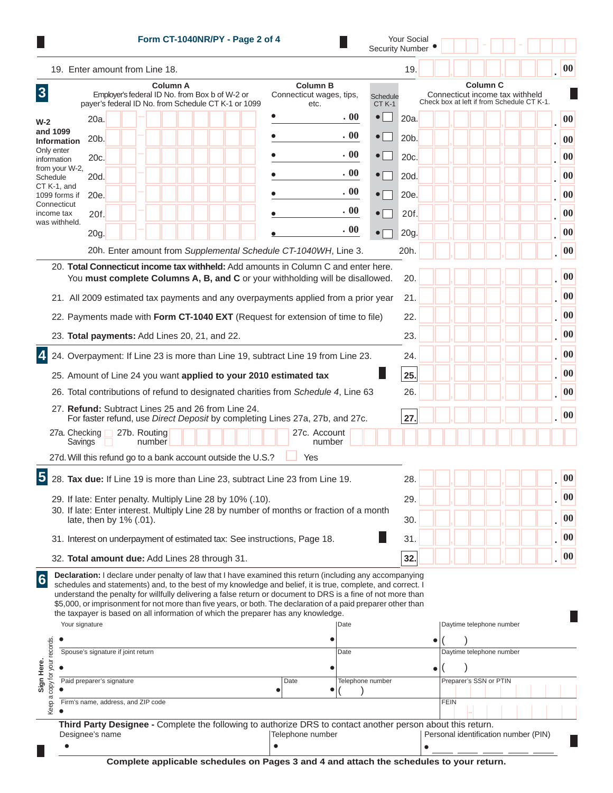|                                                                                                                                            |                                    |                                    |              |        |  |  | Form CT-1040NR/PY - Page 2 of 4                                             |  |                                                                                                                                                                                                                                                                                                                                                                                                                                                                                                                                               |                        |                  |                                                                                                  | <b>Your Social</b><br><b>Security Number</b> |  |                                                      |  |  |  |  |                   |
|--------------------------------------------------------------------------------------------------------------------------------------------|------------------------------------|------------------------------------|--------------|--------|--|--|-----------------------------------------------------------------------------|--|-----------------------------------------------------------------------------------------------------------------------------------------------------------------------------------------------------------------------------------------------------------------------------------------------------------------------------------------------------------------------------------------------------------------------------------------------------------------------------------------------------------------------------------------------|------------------------|------------------|--------------------------------------------------------------------------------------------------|----------------------------------------------|--|------------------------------------------------------|--|--|--|--|-------------------|
| 19. Enter amount from Line 18.                                                                                                             |                                    |                                    |              |        |  |  |                                                                             |  |                                                                                                                                                                                                                                                                                                                                                                                                                                                                                                                                               |                        |                  |                                                                                                  | 19.                                          |  |                                                      |  |  |  |  | 00                |
| <b>Column A</b><br>$\overline{3}$<br>Employer's federal ID No. from Box b of W-2 or<br>payer's federal ID No. from Schedule CT K-1 or 1099 |                                    |                                    |              |        |  |  | <b>Column B</b><br>Connecticut wages, tips,<br>Schedule<br>$CT K-1$<br>etc. |  |                                                                                                                                                                                                                                                                                                                                                                                                                                                                                                                                               |                        |                  | <b>Column C</b><br>Connecticut income tax withheld<br>Check box at left if from Schedule CT K-1. |                                              |  |                                                      |  |  |  |  |                   |
| $W-2$                                                                                                                                      | 20a.                               |                                    |              |        |  |  |                                                                             |  |                                                                                                                                                                                                                                                                                                                                                                                                                                                                                                                                               |                        | . 00             | $\bullet$                                                                                        | 20a.                                         |  |                                                      |  |  |  |  | 00                |
| and 1099<br><b>Information</b>                                                                                                             | 20b.                               |                                    |              |        |  |  |                                                                             |  |                                                                                                                                                                                                                                                                                                                                                                                                                                                                                                                                               |                        | . 00             | $\bullet$                                                                                        | 20b.                                         |  |                                                      |  |  |  |  | 00                |
| Only enter                                                                                                                                 | 20c.                               |                                    |              |        |  |  |                                                                             |  |                                                                                                                                                                                                                                                                                                                                                                                                                                                                                                                                               |                        | . 00             | $\bullet$                                                                                        | 20c.                                         |  |                                                      |  |  |  |  | 00                |
| information<br>from your W-2,                                                                                                              |                                    |                                    |              |        |  |  |                                                                             |  |                                                                                                                                                                                                                                                                                                                                                                                                                                                                                                                                               |                        | . 00             | $\bullet$ [ $\parallel$                                                                          |                                              |  |                                                      |  |  |  |  | 00                |
| Schedule<br>CT K-1, and                                                                                                                    | 20d.                               |                                    |              |        |  |  |                                                                             |  |                                                                                                                                                                                                                                                                                                                                                                                                                                                                                                                                               |                        | . 00             |                                                                                                  | 20d.                                         |  |                                                      |  |  |  |  |                   |
| 1099 forms if<br>Connecticut                                                                                                               | 20e.                               |                                    |              |        |  |  |                                                                             |  |                                                                                                                                                                                                                                                                                                                                                                                                                                                                                                                                               |                        |                  | $\bullet$                                                                                        | 20e.                                         |  |                                                      |  |  |  |  | 00                |
| income tax<br>was withheld.                                                                                                                | 20f.                               |                                    |              |        |  |  |                                                                             |  |                                                                                                                                                                                                                                                                                                                                                                                                                                                                                                                                               |                        | . 00             | $\bullet$                                                                                        | 20f.                                         |  |                                                      |  |  |  |  | 00                |
|                                                                                                                                            | 20g.                               |                                    |              |        |  |  |                                                                             |  |                                                                                                                                                                                                                                                                                                                                                                                                                                                                                                                                               |                        | . 00             | $\bullet$                                                                                        | 20g.                                         |  |                                                      |  |  |  |  | $\boldsymbol{00}$ |
|                                                                                                                                            |                                    |                                    |              |        |  |  |                                                                             |  | 20h. Enter amount from Supplemental Schedule CT-1040WH, Line 3.                                                                                                                                                                                                                                                                                                                                                                                                                                                                               |                        |                  |                                                                                                  | 20h.                                         |  |                                                      |  |  |  |  | 00                |
|                                                                                                                                            |                                    |                                    |              |        |  |  |                                                                             |  | 20. Total Connecticut income tax withheld: Add amounts in Column C and enter here.                                                                                                                                                                                                                                                                                                                                                                                                                                                            |                        |                  |                                                                                                  |                                              |  |                                                      |  |  |  |  |                   |
|                                                                                                                                            |                                    |                                    |              |        |  |  |                                                                             |  | You must complete Columns A, B, and C or your withholding will be disallowed.                                                                                                                                                                                                                                                                                                                                                                                                                                                                 |                        |                  |                                                                                                  | 20.                                          |  |                                                      |  |  |  |  | 00                |
|                                                                                                                                            |                                    |                                    |              |        |  |  |                                                                             |  | 21. All 2009 estimated tax payments and any overpayments applied from a prior year                                                                                                                                                                                                                                                                                                                                                                                                                                                            |                        |                  |                                                                                                  | 21.                                          |  |                                                      |  |  |  |  | $\bf{00}$         |
|                                                                                                                                            |                                    |                                    |              |        |  |  |                                                                             |  | 22. Payments made with Form CT-1040 EXT (Request for extension of time to file)                                                                                                                                                                                                                                                                                                                                                                                                                                                               |                        |                  |                                                                                                  | 22.                                          |  |                                                      |  |  |  |  | $\boldsymbol{00}$ |
| 23. Total payments: Add Lines 20, 21, and 22.                                                                                              |                                    |                                    |              |        |  |  |                                                                             |  |                                                                                                                                                                                                                                                                                                                                                                                                                                                                                                                                               |                        |                  |                                                                                                  | 23.                                          |  |                                                      |  |  |  |  |                   |
|                                                                                                                                            |                                    |                                    |              |        |  |  |                                                                             |  | 24. Overpayment: If Line 23 is more than Line 19, subtract Line 19 from Line 23.                                                                                                                                                                                                                                                                                                                                                                                                                                                              |                        |                  |                                                                                                  | 24.                                          |  |                                                      |  |  |  |  |                   |
|                                                                                                                                            |                                    |                                    |              |        |  |  |                                                                             |  | 25. Amount of Line 24 you want applied to your 2010 estimated tax                                                                                                                                                                                                                                                                                                                                                                                                                                                                             |                        |                  |                                                                                                  | 25.                                          |  |                                                      |  |  |  |  |                   |
|                                                                                                                                            |                                    |                                    |              |        |  |  |                                                                             |  | 26. Total contributions of refund to designated charities from Schedule 4, Line 63                                                                                                                                                                                                                                                                                                                                                                                                                                                            |                        |                  |                                                                                                  | 26.                                          |  |                                                      |  |  |  |  |                   |
| 27. Refund: Subtract Lines 25 and 26 from Line 24.                                                                                         |                                    |                                    |              |        |  |  |                                                                             |  |                                                                                                                                                                                                                                                                                                                                                                                                                                                                                                                                               |                        |                  |                                                                                                  |                                              |  |                                                      |  |  |  |  | 00                |
|                                                                                                                                            |                                    |                                    |              |        |  |  |                                                                             |  | For faster refund, use Direct Deposit by completing Lines 27a, 27b, and 27c.                                                                                                                                                                                                                                                                                                                                                                                                                                                                  |                        |                  |                                                                                                  | 27                                           |  |                                                      |  |  |  |  | 00                |
| 27a. Checking                                                                                                                              | Savings                            |                                    | 27b. Routing | number |  |  |                                                                             |  |                                                                                                                                                                                                                                                                                                                                                                                                                                                                                                                                               | 27c. Account<br>number |                  |                                                                                                  |                                              |  |                                                      |  |  |  |  |                   |
| 27d. Will this refund go to a bank account outside the U.S.?                                                                               |                                    |                                    |              |        |  |  |                                                                             |  | Yes                                                                                                                                                                                                                                                                                                                                                                                                                                                                                                                                           |                        |                  |                                                                                                  |                                              |  |                                                      |  |  |  |  |                   |
|                                                                                                                                            |                                    |                                    |              |        |  |  |                                                                             |  | 28. Tax due: If Line 19 is more than Line 23, subtract Line 23 from Line 19.                                                                                                                                                                                                                                                                                                                                                                                                                                                                  |                        |                  |                                                                                                  | 28.                                          |  |                                                      |  |  |  |  |                   |
| 29. If late: Enter penalty. Multiply Line 28 by 10% (.10).                                                                                 |                                    |                                    |              |        |  |  |                                                                             |  |                                                                                                                                                                                                                                                                                                                                                                                                                                                                                                                                               |                        |                  |                                                                                                  | 29.                                          |  |                                                      |  |  |  |  |                   |
|                                                                                                                                            |                                    |                                    |              |        |  |  |                                                                             |  | 30. If late: Enter interest. Multiply Line 28 by number of months or fraction of a month                                                                                                                                                                                                                                                                                                                                                                                                                                                      |                        |                  |                                                                                                  |                                              |  |                                                      |  |  |  |  | 00                |
|                                                                                                                                            | late, then by 1% (.01).            |                                    |              |        |  |  |                                                                             |  |                                                                                                                                                                                                                                                                                                                                                                                                                                                                                                                                               |                        |                  |                                                                                                  | 30.                                          |  |                                                      |  |  |  |  |                   |
|                                                                                                                                            |                                    |                                    |              |        |  |  |                                                                             |  | 31. Interest on underpayment of estimated tax: See instructions, Page 18.                                                                                                                                                                                                                                                                                                                                                                                                                                                                     |                        |                  |                                                                                                  | 31.                                          |  |                                                      |  |  |  |  |                   |
| 32. Total amount due: Add Lines 28 through 31.                                                                                             |                                    |                                    |              |        |  |  |                                                                             |  |                                                                                                                                                                                                                                                                                                                                                                                                                                                                                                                                               |                        |                  |                                                                                                  | 32.                                          |  |                                                      |  |  |  |  | 00                |
|                                                                                                                                            | Your signature                     | Spouse's signature if joint return |              |        |  |  |                                                                             |  | Declaration: I declare under penalty of law that I have examined this return (including any accompanying<br>schedules and statements) and, to the best of my knowledge and belief, it is true, complete, and correct. I<br>understand the penalty for willfully delivering a false return or document to DRS is a fine of not more than<br>\$5,000, or imprisonment for not more than five years, or both. The declaration of a paid preparer other than<br>the taxpayer is based on all information of which the preparer has any knowledge. |                        | Date<br>Date     |                                                                                                  |                                              |  | Daytime telephone number<br>Daytime telephone number |  |  |  |  |                   |
|                                                                                                                                            | Paid preparer's signature          |                                    |              |        |  |  |                                                                             |  | Date                                                                                                                                                                                                                                                                                                                                                                                                                                                                                                                                          |                        | Telephone number |                                                                                                  |                                              |  | Preparer's SSN or PTIN                               |  |  |  |  |                   |
|                                                                                                                                            |                                    |                                    |              |        |  |  |                                                                             |  |                                                                                                                                                                                                                                                                                                                                                                                                                                                                                                                                               |                        |                  |                                                                                                  |                                              |  |                                                      |  |  |  |  |                   |
| copy for your records.<br>$\sigma$<br>Keep                                                                                                 | Firm's name, address, and ZIP code |                                    |              |        |  |  |                                                                             |  |                                                                                                                                                                                                                                                                                                                                                                                                                                                                                                                                               |                        |                  |                                                                                                  |                                              |  | <b>FEIN</b>                                          |  |  |  |  |                   |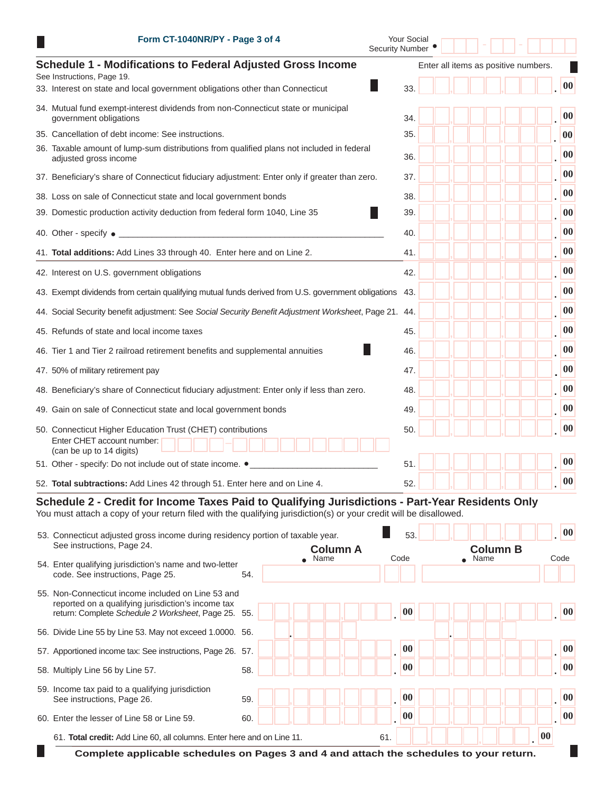| Form CT-1040NR/PY - Page 3 of 4                                                                                                                                                                                        | Your Social<br><b>Security Number</b> |                                      |  |  |                   |  |
|------------------------------------------------------------------------------------------------------------------------------------------------------------------------------------------------------------------------|---------------------------------------|--------------------------------------|--|--|-------------------|--|
| <b>Schedule 1 - Modifications to Federal Adjusted Gross Income</b><br>See Instructions, Page 19.                                                                                                                       |                                       | Enter all items as positive numbers. |  |  |                   |  |
| 33. Interest on state and local government obligations other than Connecticut                                                                                                                                          | 33.                                   |                                      |  |  | 00                |  |
| 34. Mutual fund exempt-interest dividends from non-Connecticut state or municipal<br>government obligations                                                                                                            | 34.                                   |                                      |  |  | 00                |  |
| 35. Cancellation of debt income: See instructions.                                                                                                                                                                     | 35.                                   |                                      |  |  | $\boldsymbol{00}$ |  |
| 36. Taxable amount of lump-sum distributions from qualified plans not included in federal<br>adjusted gross income                                                                                                     | 36.                                   |                                      |  |  | 00                |  |
| 37. Beneficiary's share of Connecticut fiduciary adjustment: Enter only if greater than zero.                                                                                                                          | 37.                                   |                                      |  |  | $\boldsymbol{00}$ |  |
| 38. Loss on sale of Connecticut state and local government bonds                                                                                                                                                       | 38.                                   |                                      |  |  | 00                |  |
| 39. Domestic production activity deduction from federal form 1040, Line 35                                                                                                                                             | 39.                                   |                                      |  |  | $\boldsymbol{00}$ |  |
| 40. Other - specify $\bullet$                                                                                                                                                                                          | 40.                                   |                                      |  |  | 00                |  |
| 41. Total additions: Add Lines 33 through 40. Enter here and on Line 2.                                                                                                                                                | 41.                                   |                                      |  |  | 00                |  |
| 42. Interest on U.S. government obligations                                                                                                                                                                            | 42.                                   |                                      |  |  | $\boldsymbol{00}$ |  |
| 43. Exempt dividends from certain qualifying mutual funds derived from U.S. government obligations                                                                                                                     | 43.                                   |                                      |  |  | 00                |  |
| 44. Social Security benefit adjustment: See Social Security Benefit Adjustment Worksheet, Page 21.                                                                                                                     | 44.                                   |                                      |  |  | 00                |  |
| 45. Refunds of state and local income taxes                                                                                                                                                                            | 45.                                   |                                      |  |  | $\boldsymbol{00}$ |  |
| 46. Tier 1 and Tier 2 railroad retirement benefits and supplemental annuities                                                                                                                                          | 46.                                   |                                      |  |  | 00                |  |
| 47. 50% of military retirement pay                                                                                                                                                                                     | 47.                                   |                                      |  |  | 00                |  |
| 48. Beneficiary's share of Connecticut fiduciary adjustment: Enter only if less than zero.                                                                                                                             | 48.                                   |                                      |  |  | 00                |  |
| 49. Gain on sale of Connecticut state and local government bonds                                                                                                                                                       | 49.                                   |                                      |  |  | $\boldsymbol{00}$ |  |
| 50. Connecticut Higher Education Trust (CHET) contributions                                                                                                                                                            | 50.                                   |                                      |  |  | 00                |  |
| Enter CHET account number:<br>(can be up to 14 digits)                                                                                                                                                                 |                                       |                                      |  |  |                   |  |
| 51. Other - specify: Do not include out of state income. .                                                                                                                                                             | 51.                                   |                                      |  |  | $\bf{00}$         |  |
| 52. Total subtractions: Add Lines 42 through 51. Enter here and on Line 4.                                                                                                                                             | 52.                                   |                                      |  |  | $ 00\rangle$      |  |
| Schedule 2 - Credit for Income Taxes Paid to Qualifying Jurisdictions - Part-Year Residents Only<br>You must attach a copy of your return filed with the qualifying jurisdiction(s) or your credit will be disallowed. |                                       |                                      |  |  |                   |  |
| EQ, Connecticut odjunted gross income during residency perties of toughle year                                                                                                                                         | EO.                                   |                                      |  |  | 00                |  |

|                                                                                                                                                                 | 53. Connecticut adjusted gross income during residency portion of taxable year. |                 |      |     |                 |  |                 | 00 |    |      |  |
|-----------------------------------------------------------------------------------------------------------------------------------------------------------------|---------------------------------------------------------------------------------|-----------------|------|-----|-----------------|--|-----------------|----|----|------|--|
| See instructions, Page 24.                                                                                                                                      |                                                                                 | <b>Column A</b> |      |     |                 |  | <b>Column B</b> |    |    |      |  |
| 54. Enter qualifying jurisdiction's name and two-letter<br>code. See instructions, Page 25.                                                                     | 54.                                                                             |                 | Name |     | Code            |  | $\bullet$ Name  |    |    | Code |  |
| 55. Non-Connecticut income included on Line 53 and<br>reported on a qualifying jurisdiction's income tax<br>return: Complete Schedule 2 Worksheet, Page 25. 55. |                                                                                 |                 |      |     | 00              |  |                 |    |    | 00   |  |
| 56. Divide Line 55 by Line 53. May not exceed 1.0000. 56.                                                                                                       |                                                                                 |                 |      |     |                 |  |                 |    |    |      |  |
| 57. Apportioned income tax: See instructions, Page 26. 57.                                                                                                      |                                                                                 |                 |      |     | 00              |  |                 |    |    | 00   |  |
| 58. Multiply Line 56 by Line 57.                                                                                                                                | 58.                                                                             |                 |      |     | 00              |  |                 |    |    | 00   |  |
| 59. Income tax paid to a qualifying jurisdiction<br>See instructions, Page 26.                                                                                  | 59.                                                                             |                 |      |     | 00              |  |                 |    |    | 00   |  |
| 60. Enter the lesser of Line 58 or Line 59.                                                                                                                     | 60.                                                                             |                 |      |     | $\overline{00}$ |  |                 |    |    | 00   |  |
| 61. Total credit: Add Line 60, all columns. Enter here and on Line 11.                                                                                          |                                                                                 |                 |      | 61. |                 |  |                 |    | 00 |      |  |
| Complete applicable schedules on Pages 3 and 4 and attach the schedules to your return.                                                                         |                                                                                 |                 |      |     |                 |  |                 |    |    |      |  |